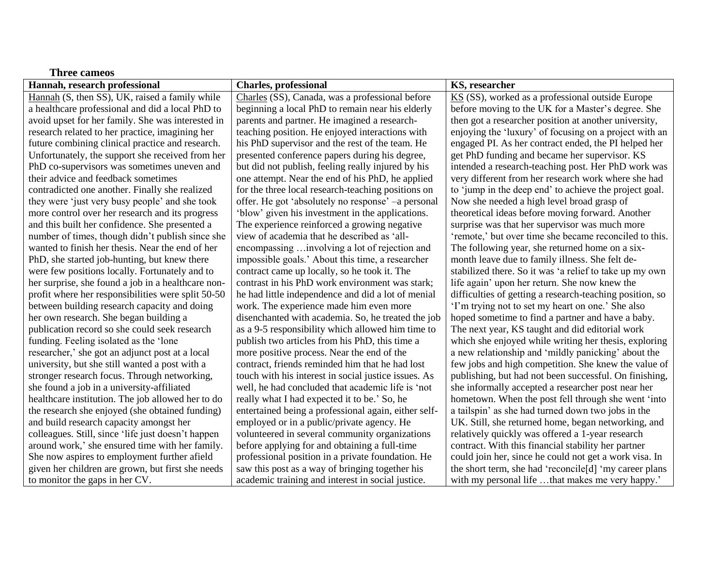| Hannah, research professional                      | <b>Charles, professional</b>                         | KS, researcher                                           |
|----------------------------------------------------|------------------------------------------------------|----------------------------------------------------------|
| Hannah (S, then SS), UK, raised a family while     | Charles (SS), Canada, was a professional before      | KS (SS), worked as a professional outside Europe         |
| a healthcare professional and did a local PhD to   | beginning a local PhD to remain near his elderly     | before moving to the UK for a Master's degree. She       |
| avoid upset for her family. She was interested in  | parents and partner. He imagined a research-         | then got a researcher position at another university,    |
| research related to her practice, imagining her    | teaching position. He enjoyed interactions with      | enjoying the 'luxury' of focusing on a project with an   |
| future combining clinical practice and research.   | his PhD supervisor and the rest of the team. He      | engaged PI. As her contract ended, the PI helped her     |
| Unfortunately, the support she received from her   | presented conference papers during his degree,       | get PhD funding and became her supervisor. KS            |
| PhD co-supervisors was sometimes uneven and        | but did not publish, feeling really injured by his   | intended a research-teaching post. Her PhD work was      |
| their advice and feedback sometimes                | one attempt. Near the end of his PhD, he applied     | very different from her research work where she had      |
| contradicted one another. Finally she realized     | for the three local research-teaching positions on   | to 'jump in the deep end' to achieve the project goal.   |
| they were 'just very busy people' and she took     | offer. He got 'absolutely no response' –a personal   | Now she needed a high level broad grasp of               |
| more control over her research and its progress    | 'blow' given his investment in the applications.     | theoretical ideas before moving forward. Another         |
| and this built her confidence. She presented a     | The experience reinforced a growing negative         | surprise was that her supervisor was much more           |
| number of times, though didn't publish since she   | view of academia that he described as 'all-          | 'remote,' but over time she became reconciled to this.   |
| wanted to finish her thesis. Near the end of her   | encompassing  involving a lot of rejection and       | The following year, she returned home on a six-          |
| PhD, she started job-hunting, but knew there       | impossible goals.' About this time, a researcher     | month leave due to family illness. She felt de-          |
| were few positions locally. Fortunately and to     | contract came up locally, so he took it. The         | stabilized there. So it was 'a relief to take up my own  |
| her surprise, she found a job in a healthcare non- | contrast in his PhD work environment was stark;      | life again' upon her return. She now knew the            |
| profit where her responsibilities were split 50-50 | he had little independence and did a lot of menial   | difficulties of getting a research-teaching position, so |
| between building research capacity and doing       | work. The experience made him even more              | 'I'm trying not to set my heart on one.' She also        |
| her own research. She began building a             | disenchanted with academia. So, he treated the job   | hoped sometime to find a partner and have a baby.        |
| publication record so she could seek research      | as a 9-5 responsibility which allowed him time to    | The next year, KS taught and did editorial work          |
| funding. Feeling isolated as the 'lone             | publish two articles from his PhD, this time a       | which she enjoyed while writing her thesis, exploring    |
| researcher,' she got an adjunct post at a local    | more positive process. Near the end of the           | a new relationship and 'mildly panicking' about the      |
| university, but she still wanted a post with a     | contract, friends reminded him that he had lost      | few jobs and high competition. She knew the value of     |
| stronger research focus. Through networking,       | touch with his interest in social justice issues. As | publishing, but had not been successful. On finishing,   |
| she found a job in a university-affiliated         | well, he had concluded that academic life is 'not    | she informally accepted a researcher post near her       |
| healthcare institution. The job allowed her to do  | really what I had expected it to be.' So, he         | hometown. When the post fell through she went 'into      |
| the research she enjoyed (she obtained funding)    | entertained being a professional again, either self- | a tailspin' as she had turned down two jobs in the       |
| and build research capacity amongst her            | employed or in a public/private agency. He           | UK. Still, she returned home, began networking, and      |
| colleagues. Still, since 'life just doesn't happen | volunteered in several community organizations       | relatively quickly was offered a 1-year research         |
| around work,' she ensured time with her family.    | before applying for and obtaining a full-time        | contract. With this financial stability her partner      |
| She now aspires to employment further afield       | professional position in a private foundation. He    | could join her, since he could not get a work visa. In   |
| given her children are grown, but first she needs  | saw this post as a way of bringing together his      | the short term, she had 'reconcile[d] 'my career plans   |
| to monitor the gaps in her CV.                     | academic training and interest in social justice.    | with my personal life that makes me very happy.'         |